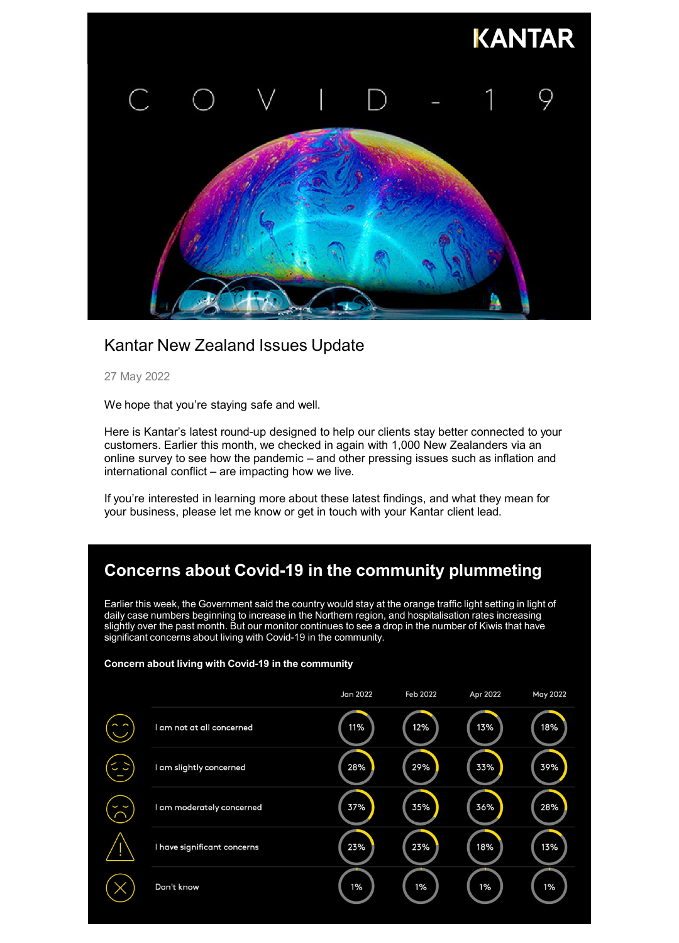

## Kantar New Zealand Issues Update

27 May 2022

We hope that you're staying safe and well.

Here is Kantar's latest round-up designed to help our clients stay better connected to your customers. Earlier this month, we checked in again with 1,000 New Zealanders via an online survey to see how the pandemic – and other pressing issues such as inflation and international conflict – are impacting how we live.

If you're interested in learning more about these latest findings, and what they mean for your business, please let me know or get in touch with your Kantar client lead.

# **Concerns about Covid-19 in the community plummeting**

Earlier this week, the Government said the country would stay at the orange traffic light setting in light of daily case numbers beginning to increase in the Northern region, and hospitalisation rates increasing slightly over the past month. But our monitor continues to see a drop in the number of Kiwis that have significant concerns about living with Covid-19 in the community.

### **Concern about living with Covid-19 in the community**

|                             | Jan 2022 | Feb 2022 | Apr 2022 | <b>May 2022</b> |
|-----------------------------|----------|----------|----------|-----------------|
| I am not at all concerned   | 11%      | 12%      | 13%      | 18%             |
| I am slightly concerned     | 28%      | 29%      | 33%      | 39%             |
| I am moderately concerned   | 37%      | 35%      | 36%      | 28%             |
| I have significant concerns | 23%      | 23%      | 18%      | 13%             |
| Don't know                  | $1\%$    | 1%       | 1%       | 1%              |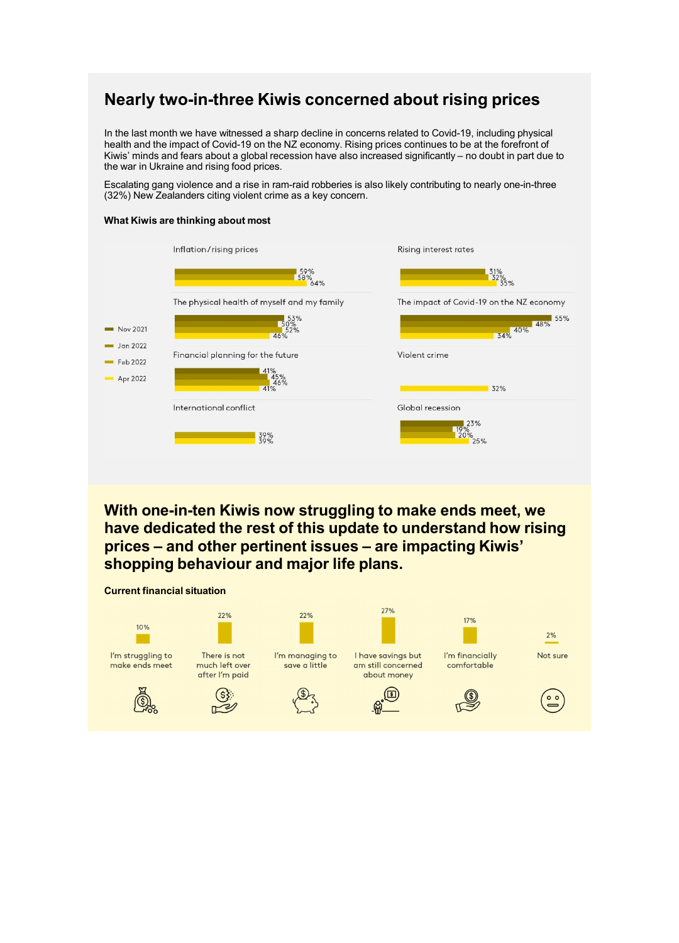## **Nearly two-in-three Kiwis concerned about rising prices**

In the last month we have witnessed a sharp decline in concerns related to Covid-19, including physical health and the impact of Covid-19 on the NZ economy. Rising prices continues to be at the forefront of Kiwis' minds and fears about a global recession have also increased significantly – no doubt in part due to the war in Ukraine and rising food prices.

Escalating gang violence and a rise in ram-raid robberies is also likely contributing to nearly one-in-three (32%) New Zealanders citing violent crime as a key concern.

### **What Kiwis are thinking about most**



**With one-in-ten Kiwis now struggling to make ends meet, we have dedicated the rest of this update to understand how rising prices – and other pertinent issues – are impacting Kiwis' shopping behaviour and major life plans.**

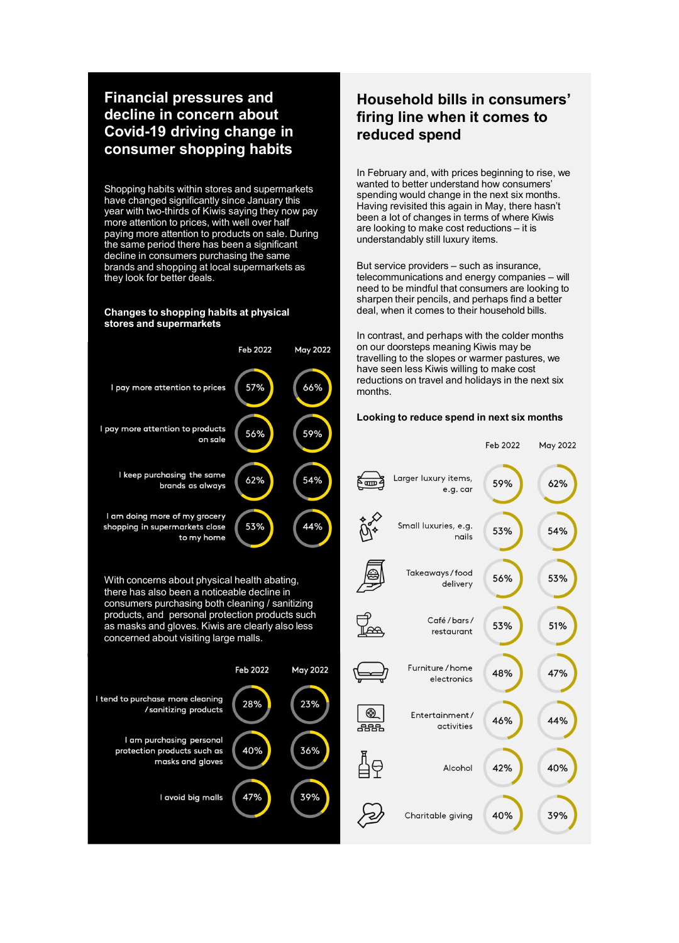### **Financial pressures and decline in concern about Covid-19 driving change in consumer shopping habits**

Shopping habits within stores and supermarkets have changed significantly since January this year with two-thirds of Kiwis saying they now pay more attention to prices, with well over half paying more attention to products on sale. During the same period there has been a significant decline in consumers purchasing the same brands and shopping at local supermarkets as they look for better deals.

#### **Changes to shopping habits at physical stores and supermarkets**



With concerns about physical health abating, there has also been a noticeable decline in consumers purchasing both cleaning / sanitizing products, and personal protection products such as masks and gloves. Kiwis are clearly also less concerned about visiting large malls.



## **Household bills in consumers' firing line when it comes to reduced spend**

In February and, with prices beginning to rise, we wanted to better understand how consumers' spending would change in the next six months. Having revisited this again in May, there hasn't been a lot of changes in terms of where Kiwis are looking to make cost reductions – it is understandably still luxury items.

But service providers – such as insurance, telecommunications and energy companies – will need to be mindful that consumers are looking to sharpen their pencils, and perhaps find a better deal, when it comes to their household bills.

In contrast, and perhaps with the colder months on our doorsteps meaning Kiwis may be travelling to the slopes or warmer pastures, we have seen less Kiwis willing to make cost reductions on travel and holidays in the next six months.

### **Looking to reduce spend in next six months**